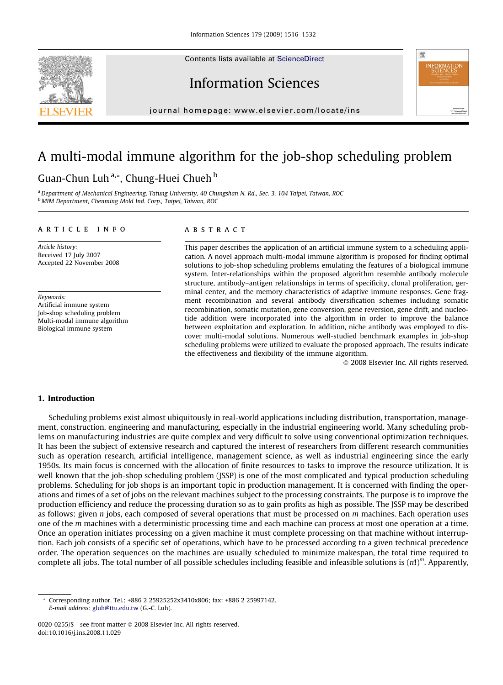Contents lists available at [ScienceDirect](http://www.sciencedirect.com/science/journal/00200255)





journal homepage: [www.elsevier.com/locate/ins](http://www.elsevier.com/locate/ins)

# A multi-modal immune algorithm for the job-shop scheduling problem

### Guan-Chun Luh<sup>a,\*</sup>, Chung-Huei Chueh <sup>b</sup>

a Department of Mechanical Engineering, Tatung University, 40 Chungshan N. Rd., Sec. 3, 104 Taipei, Taiwan, ROC <sup>b</sup> MIM Department, Chenming Mold Ind. Corp., Taipei, Taiwan, ROC

#### article info

Article history: Received 17 July 2007 Accepted 22 November 2008

Keywords:

Artificial immune system Job-shop scheduling problem Multi-modal immune algorithm Biological immune system

#### **ABSTRACT**

This paper describes the application of an artificial immune system to a scheduling application. A novel approach multi-modal immune algorithm is proposed for finding optimal solutions to job-shop scheduling problems emulating the features of a biological immune system. Inter-relationships within the proposed algorithm resemble antibody molecule structure, antibody–antigen relationships in terms of specificity, clonal proliferation, germinal center, and the memory characteristics of adaptive immune responses. Gene fragment recombination and several antibody diversification schemes including somatic recombination, somatic mutation, gene conversion, gene reversion, gene drift, and nucleotide addition were incorporated into the algorithm in order to improve the balance between exploitation and exploration. In addition, niche antibody was employed to discover multi-modal solutions. Numerous well-studied benchmark examples in job-shop scheduling problems were utilized to evaluate the proposed approach. The results indicate the effectiveness and flexibility of the immune algorithm.

- 2008 Elsevier Inc. All rights reserved.

#### 1. Introduction

Scheduling problems exist almost ubiquitously in real-world applications including distribution, transportation, management, construction, engineering and manufacturing, especially in the industrial engineering world. Many scheduling problems on manufacturing industries are quite complex and very difficult to solve using conventional optimization techniques. It has been the subject of extensive research and captured the interest of researchers from different research communities such as operation research, artificial intelligence, management science, as well as industrial engineering since the early 1950s. Its main focus is concerned with the allocation of finite resources to tasks to improve the resource utilization. It is well known that the job-shop scheduling problem (JSSP) is one of the most complicated and typical production scheduling problems. Scheduling for job shops is an important topic in production management. It is concerned with finding the operations and times of a set of jobs on the relevant machines subject to the processing constraints. The purpose is to improve the production efficiency and reduce the processing duration so as to gain profits as high as possible. The JSSP may be described as follows: given n jobs, each composed of several operations that must be processed on m machines. Each operation uses one of the m machines with a deterministic processing time and each machine can process at most one operation at a time. Once an operation initiates processing on a given machine it must complete processing on that machine without interruption. Each job consists of a specific set of operations, which have to be processed according to a given technical precedence order. The operation sequences on the machines are usually scheduled to minimize makespan, the total time required to complete all jobs. The total number of all possible schedules including feasible and infeasible solutions is  $(nt)^m$ . Apparently,

\* Corresponding author. Tel.: +886 2 25925252x3410x806; fax: +886 2 25997142. E-mail address: [gluh@ttu.edu.tw](mailto:gluh@ttu.edu.tw) (G.-C. Luh).

<sup>0020-0255/\$ -</sup> see front matter © 2008 Elsevier Inc. All rights reserved. doi:10.1016/j.ins.2008.11.029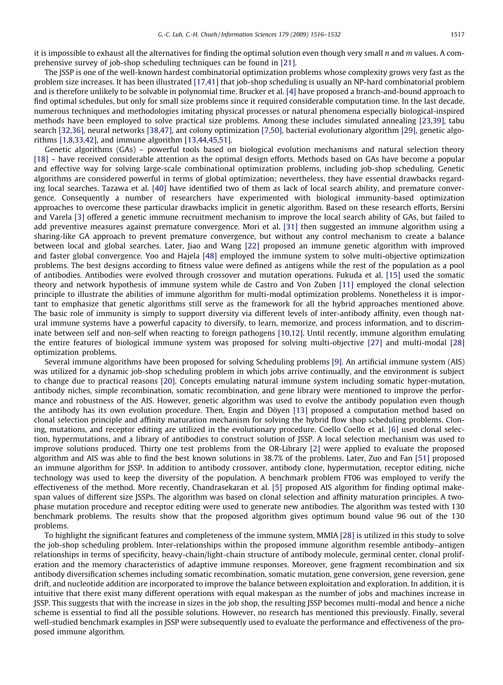it is impossible to exhaust all the alternatives for finding the optimal solution even though very small n and m values. A comprehensive survey of job-shop scheduling techniques can be found in [\[21\]](#page--1-0).

The JSSP is one of the well-known hardest combinatorial optimization problems whose complexity grows very fast as the problem size increases. It has been illustrated [\[17,41\]](#page--1-0) that job-shop scheduling is usually an NP-hard combinatorial problem and is therefore unlikely to be solvable in polynomial time. Brucker et al. [\[4\]](#page--1-0) have proposed a branch-and-bound approach to find optimal schedules, but only for small size problems since it required considerable computation time. In the last decade, numerous techniques and methodologies imitating physical processes or natural phenomena especially biological-inspired methods have been employed to solve practical size problems. Among these includes simulated annealing [\[23,39\],](#page--1-0) tabu search [\[32,36\]](#page--1-0), neural networks [\[38,47\]](#page--1-0), ant colony optimization [\[7,50\]](#page--1-0), bacterial evolutionary algorithm [\[29\]](#page--1-0), genetic algorithms [\[1,8,33,42\],](#page--1-0) and immune algorithm [\[13,44,45,51\].](#page--1-0)

Genetic algorithms (GAs) – powerful tools based on biological evolution mechanisms and natural selection theory [\[18\]](#page--1-0) – have received considerable attention as the optimal design efforts. Methods based on GAs have become a popular and effective way for solving large-scale combinational optimization problems, including job-shop scheduling. Genetic algorithms are considered powerful in terms of global optimization; nevertheless, they have essential drawbacks regarding local searches. Tazawa et al. [\[40\]](#page--1-0) have identified two of them as lack of local search ability, and premature convergence. Consequently a number of researchers have experimented with biological immunity-based optimization approaches to overcome these particular drawbacks implicit in genetic algorithm. Based on these research efforts, Bersini and Varela [\[3\]](#page--1-0) offered a genetic immune recruitment mechanism to improve the local search ability of GAs, but failed to add preventive measures against premature convergence. Mori et al. [\[31\]](#page--1-0) then suggested an immune algorithm using a sharing-like GA approach to prevent premature convergence, but without any control mechanism to create a balance between local and global searches. Later, Jiao and Wang [\[22\]](#page--1-0) proposed an immune genetic algorithm with improved and faster global convergence. Yoo and Hajela [\[48\]](#page--1-0) employed the immune system to solve multi-objective optimization problems. The best designs according to fitness value were defined as antigens while the rest of the population as a pool of antibodies. Antibodies were evolved through crossover and mutation operations. Fukuda et al. [\[15\]](#page--1-0) used the somatic theory and network hypothesis of immune system while de Castro and Von Zuben [\[11\]](#page--1-0) employed the clonal selection principle to illustrate the abilities of immune algorithm for multi-modal optimization problems. Nonetheless it is important to emphasize that genetic algorithms still serve as the framework for all the hybrid approaches mentioned above. The basic role of immunity is simply to support diversity via different levels of inter-antibody affinity, even though natural immune systems have a powerful capacity to diversify, to learn, memorize, and process information, and to discriminate between self and non-self when reacting to foreign pathogens [\[10,12\].](#page--1-0) Until recently, immune algorithm emulating the entire features of biological immune system was proposed for solving multi-objective [\[27\]](#page--1-0) and multi-modal [\[28\]](#page--1-0) optimization problems.

Several immune algorithms have been proposed for solving Scheduling problems [\[9\]](#page--1-0). An artificial immune system (AIS) was utilized for a dynamic job-shop scheduling problem in which jobs arrive continually, and the environment is subject to change due to practical reasons [\[20\]](#page--1-0). Concepts emulating natural immune system including somatic hyper-mutation, antibody niches, simple recombination, somatic recombination, and gene library were mentioned to improve the performance and robustness of the AIS. However, genetic algorithm was used to evolve the antibody population even though the antibody has its own evolution procedure. Then, Engin and Döyen [\[13\]](#page--1-0) proposed a computation method based on clonal selection principle and affinity maturation mechanism for solving the hybrid flow shop scheduling problems. Cloning, mutations, and receptor editing are utilized in the evolutionary procedure. Coello Coello et al. [\[6\]](#page--1-0) used clonal selection, hypermutations, and a library of antibodies to construct solution of JSSP. A local selection mechanism was used to improve solutions produced. Thirty one test problems from the OR-Library [\[2\]](#page--1-0) were applied to evaluate the proposed algorithm and AIS was able to find the best known solutions in 38.7% of the problems. Later, Zuo and Fan [\[51\]](#page--1-0) proposed an immune algorithm for JSSP. In addition to antibody crossover, antibody clone, hypermutation, receptor editing, niche technology was used to keep the diversity of the population. A benchmark problem FT06 was employed to verify the effectiveness of the method. More recently, Chandrasekaran et al. [\[5\]](#page--1-0) proposed AIS algorithm for finding optimal makespan values of different size JSSPs. The algorithm was based on clonal selection and affinity maturation principles. A twophase mutation procedure and receptor editing were used to generate new antibodies. The algorithm was tested with 130 benchmark problems. The results show that the proposed algorithm gives optimum bound value 96 out of the 130 problems.

To highlight the significant features and completeness of the immune system, MMIA [\[28\]](#page--1-0) is utilized in this study to solve the job-shop scheduling problem. Inter-relationships within the proposed immune algorithm resemble antibody–antigen relationships in terms of specificity, heavy-chain/light-chain structure of antibody molecule, germinal center, clonal proliferation and the memory characteristics of adaptive immune responses. Moreover, gene fragment recombination and six antibody diversification schemes including somatic recombination, somatic mutation, gene conversion, gene reversion, gene drift, and nucleotide addition are incorporated to improve the balance between exploitation and exploration. In addition, it is intuitive that there exist many different operations with equal makespan as the number of jobs and machines increase in JSSP. This suggests that with the increase in sizes in the job shop, the resulting JSSP becomes multi-modal and hence a niche scheme is essential to find all the possible solutions. However, no research has mentioned this previously. Finally, several well-studied benchmark examples in JSSP were subsequently used to evaluate the performance and effectiveness of the proposed immune algorithm.